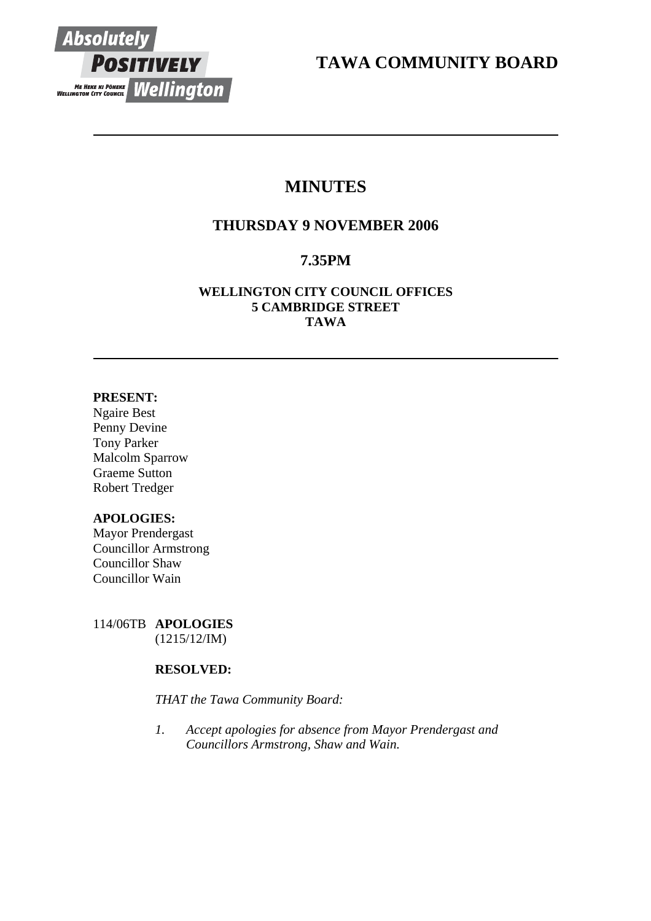

**TAWA COMMUNITY BOARD** 

# **MINUTES**

# **THURSDAY 9 NOVEMBER 2006**

# **7.35PM**

# **WELLINGTON CITY COUNCIL OFFICES 5 CAMBRIDGE STREET TAWA**

# **PRESENT:**

Ngaire Best Penny Devine Tony Parker Malcolm Sparrow Graeme Sutton Robert Tredger

# **APOLOGIES:**

Mayor Prendergast Councillor Armstrong Councillor Shaw Councillor Wain

114/06TB **APOLOGIES** (1215/12/IM)

# **RESOLVED:**

*THAT the Tawa Community Board:* 

*1. Accept apologies for absence from Mayor Prendergast and Councillors Armstrong, Shaw and Wain.*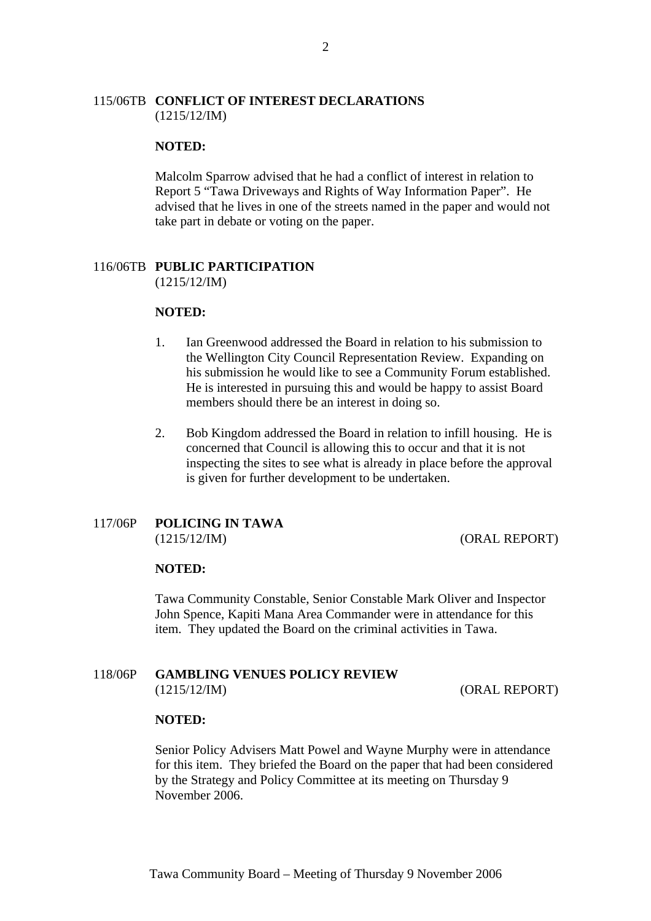# 115/06TB **CONFLICT OF INTEREST DECLARATIONS** (1215/12/IM)

### **NOTED:**

Malcolm Sparrow advised that he had a conflict of interest in relation to Report 5 "Tawa Driveways and Rights of Way Information Paper". He advised that he lives in one of the streets named in the paper and would not take part in debate or voting on the paper.

#### 116/06TB **PUBLIC PARTICIPATION** (1215/12/IM)

#### **NOTED:**

- 1. Ian Greenwood addressed the Board in relation to his submission to the Wellington City Council Representation Review. Expanding on his submission he would like to see a Community Forum established. He is interested in pursuing this and would be happy to assist Board members should there be an interest in doing so.
- 2. Bob Kingdom addressed the Board in relation to infill housing. He is concerned that Council is allowing this to occur and that it is not inspecting the sites to see what is already in place before the approval is given for further development to be undertaken.

### 117/06P **POLICING IN TAWA** (1215/12/IM) (ORAL REPORT)

## **NOTED:**

Tawa Community Constable, Senior Constable Mark Oliver and Inspector John Spence, Kapiti Mana Area Commander were in attendance for this item. They updated the Board on the criminal activities in Tawa.

# 118/06P **GAMBLING VENUES POLICY REVIEW**  (1215/12/IM) (ORAL REPORT)

#### **NOTED:**

Senior Policy Advisers Matt Powel and Wayne Murphy were in attendance for this item. They briefed the Board on the paper that had been considered by the Strategy and Policy Committee at its meeting on Thursday 9 November 2006.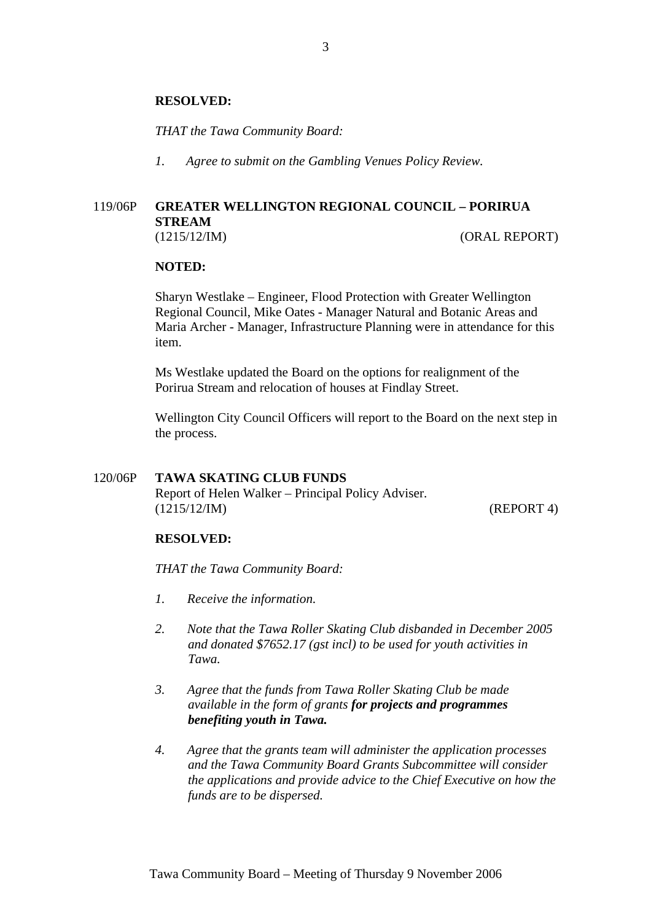### **RESOLVED:**

*THAT the Tawa Community Board:* 

*1. Agree to submit on the Gambling Venues Policy Review.* 

# 119/06P **GREATER WELLINGTON REGIONAL COUNCIL – PORIRUA STREAM**  (1215/12/IM) (ORAL REPORT)

#### **NOTED:**

Sharyn Westlake – Engineer, Flood Protection with Greater Wellington Regional Council, Mike Oates - Manager Natural and Botanic Areas and Maria Archer - Manager, Infrastructure Planning were in attendance for this item.

Ms Westlake updated the Board on the options for realignment of the Porirua Stream and relocation of houses at Findlay Street.

Wellington City Council Officers will report to the Board on the next step in the process.

# 120/06P **TAWA SKATING CLUB FUNDS**

Report of Helen Walker – Principal Policy Adviser. (1215/12/IM) (REPORT 4)

#### **RESOLVED:**

*THAT the Tawa Community Board:* 

- *1. Receive the information.*
- *2. Note that the Tawa Roller Skating Club disbanded in December 2005 and donated \$7652.17 (gst incl) to be used for youth activities in Tawa.*
- *3. Agree that the funds from Tawa Roller Skating Club be made available in the form of grants for projects and programmes benefiting youth in Tawa.*
- *4. Agree that the grants team will administer the application processes and the Tawa Community Board Grants Subcommittee will consider the applications and provide advice to the Chief Executive on how the funds are to be dispersed.*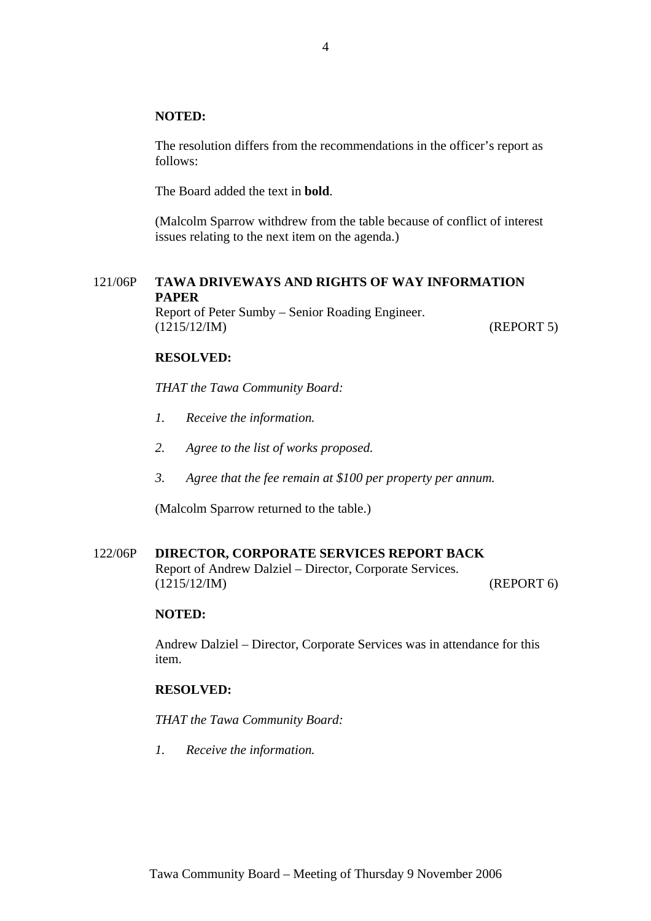# **NOTED:**

The resolution differs from the recommendations in the officer's report as follows:

The Board added the text in **bold**.

(Malcolm Sparrow withdrew from the table because of conflict of interest issues relating to the next item on the agenda.)

# 121/06P **TAWA DRIVEWAYS AND RIGHTS OF WAY INFORMATION PAPER**

Report of Peter Sumby – Senior Roading Engineer. (1215/12/IM) (REPORT 5)

## **RESOLVED:**

*THAT the Tawa Community Board:*

- *1. Receive the information.*
- *2. Agree to the list of works proposed.*
- *3. Agree that the fee remain at \$100 per property per annum.*

(Malcolm Sparrow returned to the table.)

#### 122/06P **DIRECTOR, CORPORATE SERVICES REPORT BACK**

Report of Andrew Dalziel – Director, Corporate Services. (1215/12/IM) (REPORT 6)

#### **NOTED:**

Andrew Dalziel – Director, Corporate Services was in attendance for this item.

# **RESOLVED:**

*THAT the Tawa Community Board:*

*1. Receive the information.*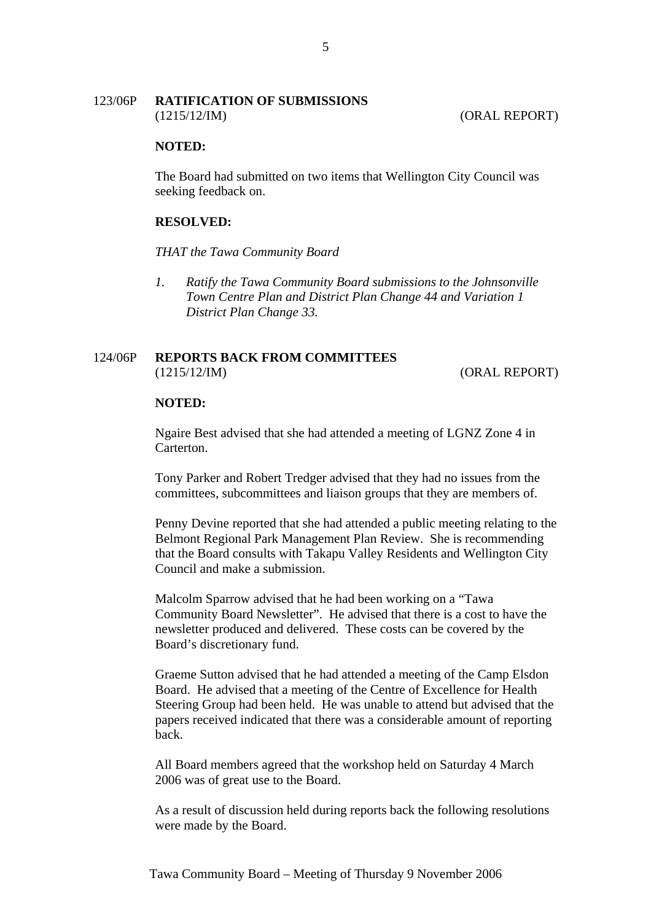## 123/06P **RATIFICATION OF SUBMISSIONS** (1215/12/IM) (ORAL REPORT)

### **NOTED:**

The Board had submitted on two items that Wellington City Council was seeking feedback on.

# **RESOLVED:**

*THAT the Tawa Community Board* 

*1. Ratify the Tawa Community Board submissions to the Johnsonville Town Centre Plan and District Plan Change 44 and Variation 1 District Plan Change 33.* 

# 124/06P **REPORTS BACK FROM COMMITTEES** (1215/12/IM) (ORAL REPORT)

#### **NOTED:**

Ngaire Best advised that she had attended a meeting of LGNZ Zone 4 in Carterton.

Tony Parker and Robert Tredger advised that they had no issues from the committees, subcommittees and liaison groups that they are members of.

Penny Devine reported that she had attended a public meeting relating to the Belmont Regional Park Management Plan Review. She is recommending that the Board consults with Takapu Valley Residents and Wellington City Council and make a submission.

Malcolm Sparrow advised that he had been working on a "Tawa Community Board Newsletter". He advised that there is a cost to have the newsletter produced and delivered. These costs can be covered by the Board's discretionary fund.

Graeme Sutton advised that he had attended a meeting of the Camp Elsdon Board. He advised that a meeting of the Centre of Excellence for Health Steering Group had been held. He was unable to attend but advised that the papers received indicated that there was a considerable amount of reporting back.

All Board members agreed that the workshop held on Saturday 4 March 2006 was of great use to the Board.

As a result of discussion held during reports back the following resolutions were made by the Board.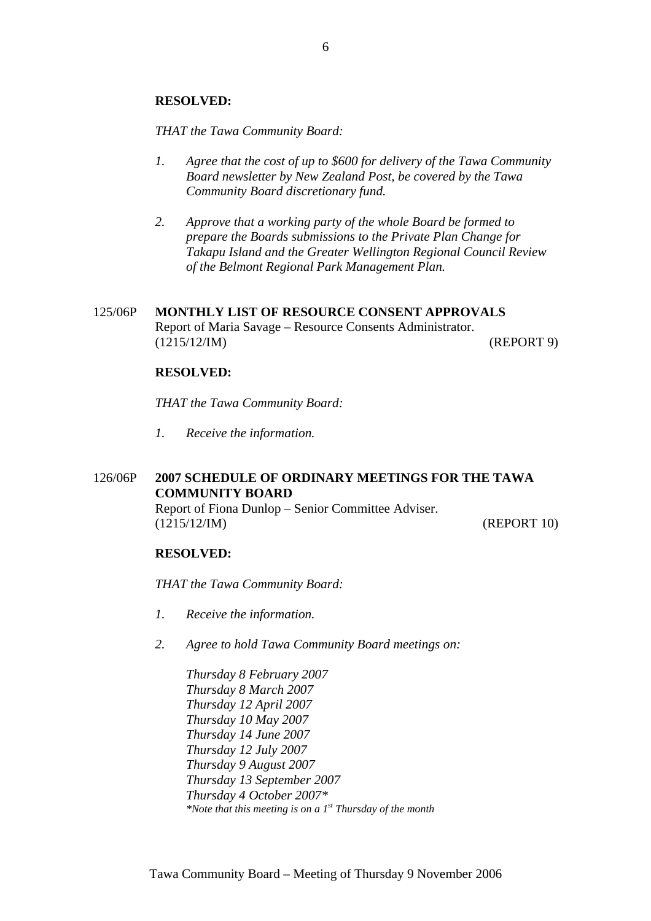*THAT the Tawa Community Board:* 

- *1. Agree that the cost of up to \$600 for delivery of the Tawa Community Board newsletter by New Zealand Post, be covered by the Tawa Community Board discretionary fund.*
- *2. Approve that a working party of the whole Board be formed to prepare the Boards submissions to the Private Plan Change for Takapu Island and the Greater Wellington Regional Council Review of the Belmont Regional Park Management Plan.*
- 125/06P **MONTHLY LIST OF RESOURCE CONSENT APPROVALS** Report of Maria Savage – Resource Consents Administrator. (1215/12/IM) (REPORT 9)

# **RESOLVED:**

*THAT the Tawa Community Board:*

*1. Receive the information.*

# 126/06P **2007 SCHEDULE OF ORDINARY MEETINGS FOR THE TAWA COMMUNITY BOARD** Report of Fiona Dunlop – Senior Committee Adviser.

(1215/12/IM) (REPORT 10)

# **RESOLVED:**

*THAT the Tawa Community Board:* 

- *1. Receive the information.*
- *2. Agree to hold Tawa Community Board meetings on:*

*Thursday 8 February 2007 Thursday 8 March 2007 Thursday 12 April 2007 Thursday 10 May 2007 Thursday 14 June 2007 Thursday 12 July 2007 Thursday 9 August 2007 Thursday 13 September 2007 Thursday 4 October 2007\* \*Note that this meeting is on a 1st Thursday of the month*